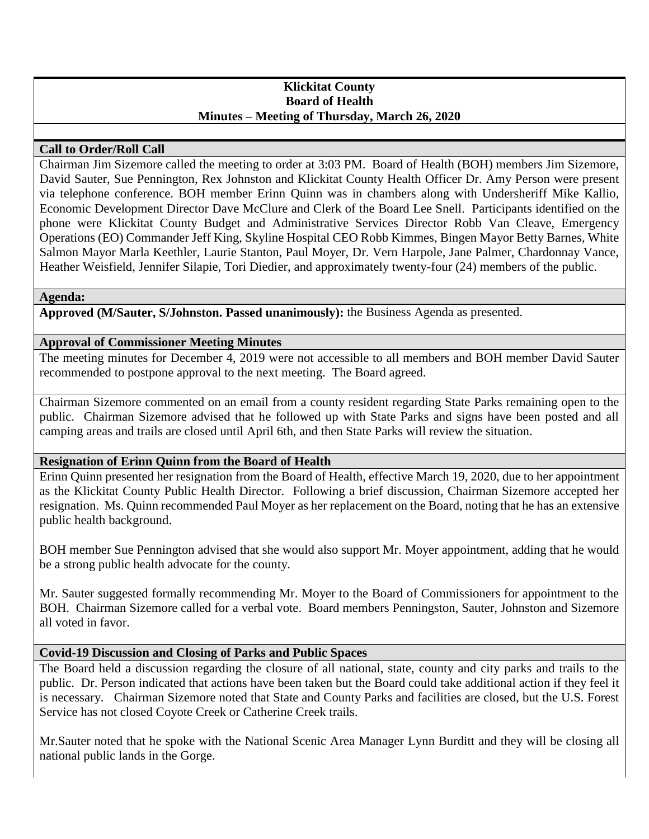## **Klickitat County Board of Health Minutes – Meeting of Thursday, March 26, 2020**

# **Call to Order/Roll Call**

Chairman Jim Sizemore called the meeting to order at 3:03 PM. Board of Health (BOH) members Jim Sizemore, David Sauter, Sue Pennington, Rex Johnston and Klickitat County Health Officer Dr. Amy Person were present via telephone conference. BOH member Erinn Quinn was in chambers along with Undersheriff Mike Kallio, Economic Development Director Dave McClure and Clerk of the Board Lee Snell. Participants identified on the phone were Klickitat County Budget and Administrative Services Director Robb Van Cleave, Emergency Operations (EO) Commander Jeff King, Skyline Hospital CEO Robb Kimmes, Bingen Mayor Betty Barnes, White Salmon Mayor Marla Keethler, Laurie Stanton, Paul Moyer, Dr. Vern Harpole, Jane Palmer, Chardonnay Vance, Heather Weisfield, Jennifer Silapie, Tori Diedier, and approximately twenty-four (24) members of the public.

## **Agenda:**

**Approved (M/Sauter, S/Johnston. Passed unanimously):** the Business Agenda as presented.

# **Approval of Commissioner Meeting Minutes**

The meeting minutes for December 4, 2019 were not accessible to all members and BOH member David Sauter recommended to postpone approval to the next meeting. The Board agreed.

Chairman Sizemore commented on an email from a county resident regarding State Parks remaining open to the public. Chairman Sizemore advised that he followed up with State Parks and signs have been posted and all camping areas and trails are closed until April 6th, and then State Parks will review the situation.

# **Resignation of Erinn Quinn from the Board of Health**

Erinn Quinn presented her resignation from the Board of Health, effective March 19, 2020, due to her appointment as the Klickitat County Public Health Director. Following a brief discussion, Chairman Sizemore accepted her resignation. Ms. Quinn recommended Paul Moyer as her replacement on the Board, noting that he has an extensive public health background.

BOH member Sue Pennington advised that she would also support Mr. Moyer appointment, adding that he would be a strong public health advocate for the county.

Mr. Sauter suggested formally recommending Mr. Moyer to the Board of Commissioners for appointment to the BOH. Chairman Sizemore called for a verbal vote. Board members Penningston, Sauter, Johnston and Sizemore all voted in favor.

## **Covid-19 Discussion and Closing of Parks and Public Spaces**

The Board held a discussion regarding the closure of all national, state, county and city parks and trails to the public. Dr. Person indicated that actions have been taken but the Board could take additional action if they feel it is necessary. Chairman Sizemore noted that State and County Parks and facilities are closed, but the U.S. Forest Service has not closed Coyote Creek or Catherine Creek trails.

Mr.Sauter noted that he spoke with the National Scenic Area Manager Lynn Burditt and they will be closing all national public lands in the Gorge.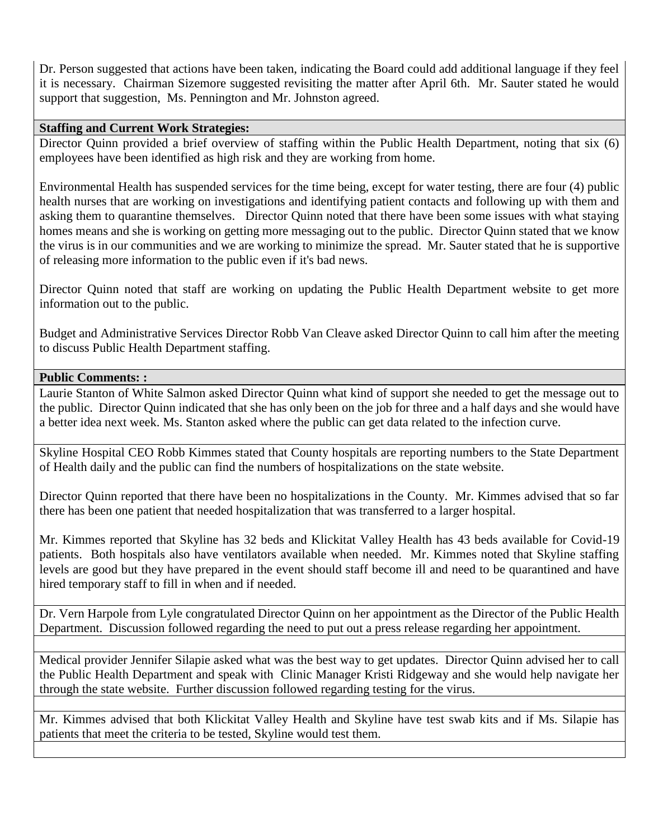Dr. Person suggested that actions have been taken, indicating the Board could add additional language if they feel it is necessary. Chairman Sizemore suggested revisiting the matter after April 6th. Mr. Sauter stated he would support that suggestion, Ms. Pennington and Mr. Johnston agreed.

### **Staffing and Current Work Strategies:**

Director Quinn provided a brief overview of staffing within the Public Health Department, noting that six (6) employees have been identified as high risk and they are working from home.

Environmental Health has suspended services for the time being, except for water testing, there are four (4) public health nurses that are working on investigations and identifying patient contacts and following up with them and asking them to quarantine themselves. Director Quinn noted that there have been some issues with what staying homes means and she is working on getting more messaging out to the public. Director Quinn stated that we know the virus is in our communities and we are working to minimize the spread. Mr. Sauter stated that he is supportive of releasing more information to the public even if it's bad news.

Director Quinn noted that staff are working on updating the Public Health Department website to get more information out to the public.

Budget and Administrative Services Director Robb Van Cleave asked Director Quinn to call him after the meeting to discuss Public Health Department staffing.

#### **Public Comments: :**

Laurie Stanton of White Salmon asked Director Quinn what kind of support she needed to get the message out to the public. Director Quinn indicated that she has only been on the job for three and a half days and she would have a better idea next week. Ms. Stanton asked where the public can get data related to the infection curve.

Skyline Hospital CEO Robb Kimmes stated that County hospitals are reporting numbers to the State Department of Health daily and the public can find the numbers of hospitalizations on the state website.

Director Quinn reported that there have been no hospitalizations in the County. Mr. Kimmes advised that so far there has been one patient that needed hospitalization that was transferred to a larger hospital.

Mr. Kimmes reported that Skyline has 32 beds and Klickitat Valley Health has 43 beds available for Covid-19 patients. Both hospitals also have ventilators available when needed. Mr. Kimmes noted that Skyline staffing levels are good but they have prepared in the event should staff become ill and need to be quarantined and have hired temporary staff to fill in when and if needed.

Dr. Vern Harpole from Lyle congratulated Director Quinn on her appointment as the Director of the Public Health Department. Discussion followed regarding the need to put out a press release regarding her appointment.

Medical provider Jennifer Silapie asked what was the best way to get updates. Director Quinn advised her to call the Public Health Department and speak with Clinic Manager Kristi Ridgeway and she would help navigate her through the state website. Further discussion followed regarding testing for the virus.

Mr. Kimmes advised that both Klickitat Valley Health and Skyline have test swab kits and if Ms. Silapie has patients that meet the criteria to be tested, Skyline would test them.